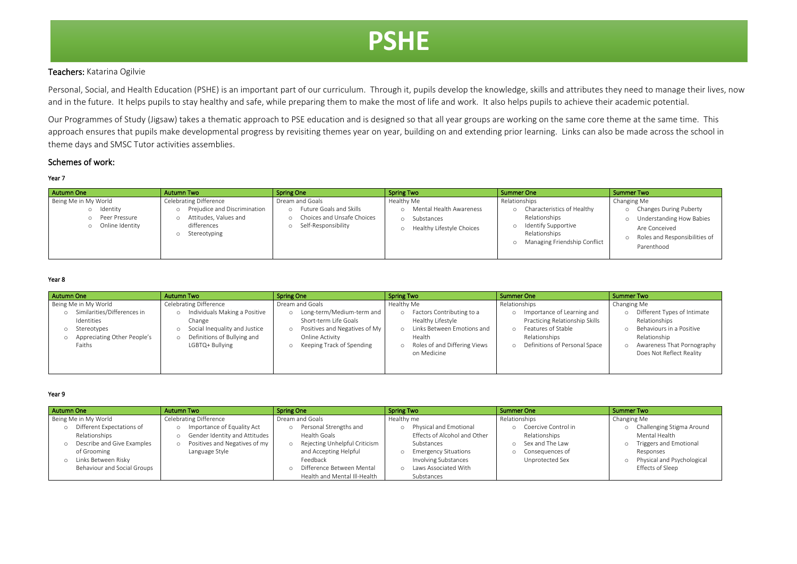## Teachers: Katarina Ogilvie

Personal, Social, and Health Education (PSHE) is an important part of our curriculum. Through it, pupils develop the knowledge, skills and attributes they need to manage their lives, now and in the future. It helps pupils to stay healthy and safe, while preparing them to make the most of life and work. It also helps pupils to achieve their academic potential.

Our Programmes of Study (Jigsaw) takes a thematic approach to PSE education and is designed so that all year groups are working on the same core theme at the same time. This approach ensures that pupils make developmental progress by revisiting themes year on year, building on and extending prior learning. Links can also be made across the school in theme days and SMSC Tutor activities assemblies.

## Schemes of work:

### Year 7

| <b>Autumn One</b>                                                        | <b>Autumn Two</b>                                                                                                     | <b>Spring One</b>                                                                                                           | <b>Spring Two</b>                                                                | <b>Summer One</b>                                                                                                                          | Summer Two                                                                                                                                                 |
|--------------------------------------------------------------------------|-----------------------------------------------------------------------------------------------------------------------|-----------------------------------------------------------------------------------------------------------------------------|----------------------------------------------------------------------------------|--------------------------------------------------------------------------------------------------------------------------------------------|------------------------------------------------------------------------------------------------------------------------------------------------------------|
| Being Me in My World<br>ldentity<br>o Peer Pressure<br>o Online Identity | <b>Celebrating Difference</b><br>Prejudice and Discrimination<br>Attitudes, Values and<br>differences<br>Stereotyping | Dream and Goals<br><b>Future Goals and Skills</b><br>$\circ$<br>Choices and Unsafe Choices<br>Self-Responsibility<br>$\cap$ | Healthy Me<br>Mental Health Awareness<br>Substances<br>Healthy Lifestyle Choices | Relationships<br>o Characteristics of Healthy<br>Relationships<br>o Identify Supportive<br>Relationships<br>o Managing Friendship Conflict | Changing Me<br><b>Changes During Puberty</b><br><b>Understanding How Babies</b><br>Are Conceived<br>Roles and Responsibilities of<br>$\circ$<br>Parenthood |

### Year 8

| Autumn One                                                                                                                           | <b>Autumn Two</b>                                                                                                                                           | <b>Spring One</b>                                                                                                                                                     | <b>Spring Two</b>                                                                                                                                                                     | <b>Summer One</b>                                                                                                                                                  | <b>Summer Two</b>                                                                                                                                                                                  |
|--------------------------------------------------------------------------------------------------------------------------------------|-------------------------------------------------------------------------------------------------------------------------------------------------------------|-----------------------------------------------------------------------------------------------------------------------------------------------------------------------|---------------------------------------------------------------------------------------------------------------------------------------------------------------------------------------|--------------------------------------------------------------------------------------------------------------------------------------------------------------------|----------------------------------------------------------------------------------------------------------------------------------------------------------------------------------------------------|
| Being Me in My World<br>Similarities/Differences in<br>Identities<br>Stereotypes<br>Appreciating Other People's<br>$\circ$<br>Faiths | <b>Celebrating Difference</b><br>Individuals Making a Positive<br>Change<br>Social Inequality and Justice<br>Definitions of Bullying and<br>LGBTQ+ Bullying | Dream and Goals<br>o Long-term/Medium-term and<br>Short-term Life Goals<br>Positives and Negatives of My<br>$\circ$<br>Online Activity<br>o Keeping Track of Spending | Healthy Me<br>Factors Contributing to a<br>$\circ$<br>Healthy Lifestyle<br>Links Between Emotions and<br>$\Omega$<br>Health<br>Roles of and Differing Views<br>$\circ$<br>on Medicine | Relationships<br>Importance of Learning and<br>$\circ$<br>Practicing Relationship Skills<br>o Features of Stable<br>Relationships<br>Definitions of Personal Space | Changing Me<br>Different Types of Intimate<br>$\circ$<br>Relationships<br>Behaviours in a Positive<br>$\circ$<br>Relationship<br>Awareness That Pornography<br>$\circ$<br>Does Not Reflect Reality |

#### Year 9

| Autumn One                                                                                                                                      | Autumn Two                                                                                                     | <b>Spring One</b>                                                                                                                                                           | <b>Spring Two</b>                                                                                                                                                                                         | Summer One                                                                                        | Summer Two                                                                                                                                       |
|-------------------------------------------------------------------------------------------------------------------------------------------------|----------------------------------------------------------------------------------------------------------------|-----------------------------------------------------------------------------------------------------------------------------------------------------------------------------|-----------------------------------------------------------------------------------------------------------------------------------------------------------------------------------------------------------|---------------------------------------------------------------------------------------------------|--------------------------------------------------------------------------------------------------------------------------------------------------|
| Being Me in My World                                                                                                                            | <b>Celebrating Difference</b>                                                                                  | Dream and Goals                                                                                                                                                             | Healthy me                                                                                                                                                                                                | Relationships                                                                                     | Changing Me                                                                                                                                      |
| Different Expectations of<br>Relationships<br>Describe and Give Examples<br>of Grooming<br>o Links Between Risky<br>Behaviour and Social Groups | Importance of Equality Act<br>Gender Identity and Attitudes<br>Positives and Negatives of my<br>Language Style | Personal Strengths and<br>Health Goals<br>o Rejecting Unhelpful Criticism<br>and Accepting Helpful<br>Feedback<br>Difference Between Mental<br>Health and Mental Ill-Health | Physical and Emotional<br>$\circ$<br>Effects of Alcohol and Other<br>Substances<br><b>Emergency Situations</b><br>$\circ$<br><b>Involving Substances</b><br>Laws Associated With<br>$\circ$<br>Substances | o Coercive Control in<br>Relationships<br>o Sex and The Law<br>Conseguences of<br>Unprotected Sex | Challenging Stigma Around<br>Mental Health<br>Triggers and Emotional<br>$\circ$<br>Responses<br>o Physical and Psychological<br>Effects of Sleep |

# **PSHE**